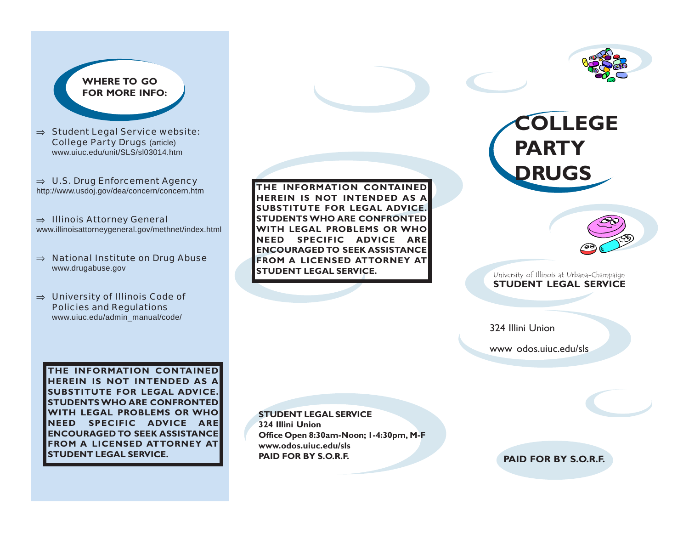## **WHERE TO GO FOR MORE INFO:**

<sup>⇒</sup> Student Legal Service website: College Party Drugs (article) www.uiuc.edu/unit/SLS/sl03014.htm

<sup>⇒</sup> U.S. Drug Enforcement Agency http://www.usdoj.gov/dea/concern/concern.htm

<sup>⇒</sup> Illinois Attorney General www.illinoisattorneygeneral.gov/methnet/index.html

- <sup>⇒</sup> National Institute on Drug Abuse www.drugabuse.gov
- <sup>⇒</sup> University of Illinois Code of Policies and Regulations www.uiuc.edu/admin\_manual/code/

**THE INFORMATION CONTAINED HEREIN IS NOT INTENDED AS A SUBSTITUTE FOR LEGAL ADVICE. STUDENTS WHO ARE CONFRONTED WITH LEGAL PROBLEMS OR WHO NEED SPECIFIC ADVICE ARE ENCOURAGED TO SEEK ASSISTANCE FROM A LICENSED ATTORNEY AT STUDENT LEGAL SERVICE.**



# **COLLEGE PARTY DRUGS**



#### University of Illinois at Urbana-Champaign **STUDENT LEGAL SERVICE**

324 Illini Union

www odos.uiuc.edu/sls

**THE INFORMATION CONTAINED HEREIN IS NOT INTENDED AS A SUBSTITUTE FOR LEGAL ADVICE. STUDENTS WHO ARE CONFRONTED WITH LEGAL PROBLEMS OR WHO NEED SPECIFIC ADVICE ARE ENCOURAGED TO SEEK ASSISTANCE FROM A LICENSED ATTORNEY AT STUDENT LEGAL SERVICE.**

**STUDENT LEGAL SERVICE 324 Illini Union Office Open 8:30am-Noon; 1-4:30pm, M-F www.odos.uiuc.edu/sls PAID FOR BY S.O.R.F.**

**PAID FOR BY S.O.R.F.**